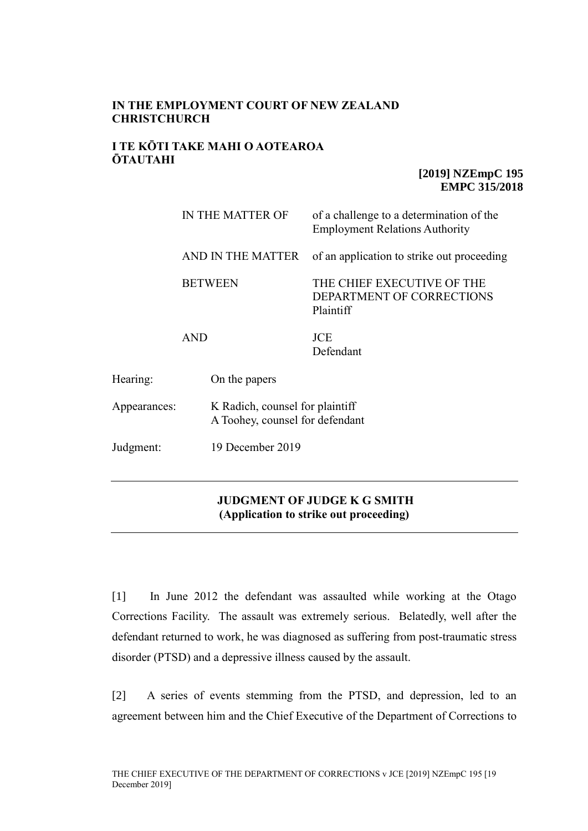### **IN THE EMPLOYMENT COURT OF NEW ZEALAND CHRISTCHURCH**

### **I TE KŌTI TAKE MAHI O AOTEAROA ŌTAUTAHI**

Judgment: 19 December 2019

#### **[2019] NZEmpC 195 EMPC 315/2018**

|              | IN THE MATTER OF                                                   | of a challenge to a determination of the<br><b>Employment Relations Authority</b> |
|--------------|--------------------------------------------------------------------|-----------------------------------------------------------------------------------|
|              | AND IN THE MATTER                                                  | of an application to strike out proceeding                                        |
|              | <b>BETWEEN</b>                                                     | THE CHIEF EXECUTIVE OF THE<br>DEPARTMENT OF CORRECTIONS<br>Plaintiff              |
|              | <b>AND</b>                                                         | <b>JCE</b><br>Defendant                                                           |
| Hearing:     | On the papers                                                      |                                                                                   |
| Appearances: | K Radich, counsel for plaintiff<br>A Toohey, counsel for defendant |                                                                                   |

# **JUDGMENT OF JUDGE K G SMITH (Application to strike out proceeding)**

[1] In June 2012 the defendant was assaulted while working at the Otago Corrections Facility. The assault was extremely serious. Belatedly, well after the defendant returned to work, he was diagnosed as suffering from post-traumatic stress disorder (PTSD) and a depressive illness caused by the assault.

[2] A series of events stemming from the PTSD, and depression, led to an agreement between him and the Chief Executive of the Department of Corrections to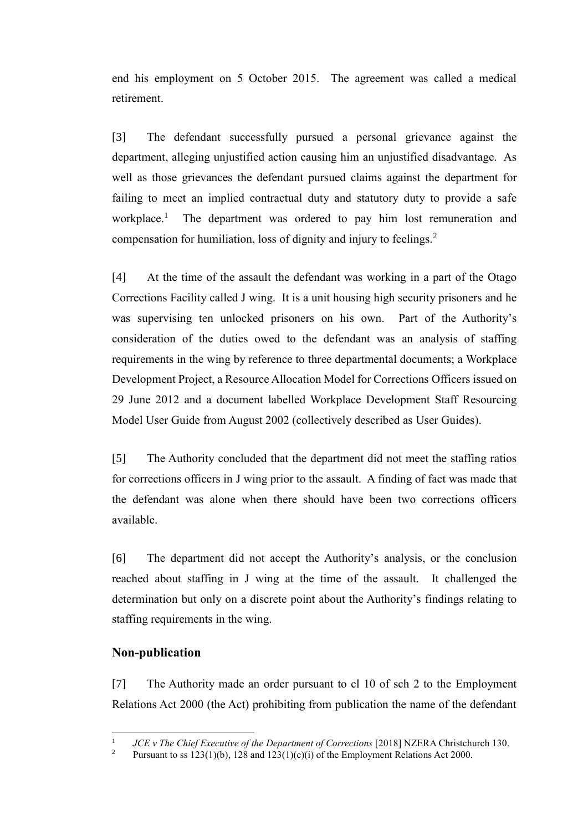end his employment on 5 October 2015. The agreement was called a medical retirement.

[3] The defendant successfully pursued a personal grievance against the department, alleging unjustified action causing him an unjustified disadvantage. As well as those grievances the defendant pursued claims against the department for failing to meet an implied contractual duty and statutory duty to provide a safe workplace.<sup>1</sup> The department was ordered to pay him lost remuneration and compensation for humiliation, loss of dignity and injury to feelings. $2$ 

[4] At the time of the assault the defendant was working in a part of the Otago Corrections Facility called J wing. It is a unit housing high security prisoners and he was supervising ten unlocked prisoners on his own. Part of the Authority's consideration of the duties owed to the defendant was an analysis of staffing requirements in the wing by reference to three departmental documents; a Workplace Development Project, a Resource Allocation Model for Corrections Officers issued on 29 June 2012 and a document labelled Workplace Development Staff Resourcing Model User Guide from August 2002 (collectively described as User Guides).

[5] The Authority concluded that the department did not meet the staffing ratios for corrections officers in J wing prior to the assault. A finding of fact was made that the defendant was alone when there should have been two corrections officers available.

[6] The department did not accept the Authority's analysis, or the conclusion reached about staffing in J wing at the time of the assault. It challenged the determination but only on a discrete point about the Authority's findings relating to staffing requirements in the wing.

# **Non-publication**

[7] The Authority made an order pursuant to cl 10 of sch 2 to the Employment Relations Act 2000 (the Act) prohibiting from publication the name of the defendant

 $\frac{1}{1}$ *JCE v The Chief Executive of the Department of Corrections* [2018] NZERA Christchurch 130.

<sup>&</sup>lt;sup>2</sup> Pursuant to ss  $123(1)(b)$ ,  $128$  and  $123(1)(c)(i)$  of the Employment Relations Act 2000.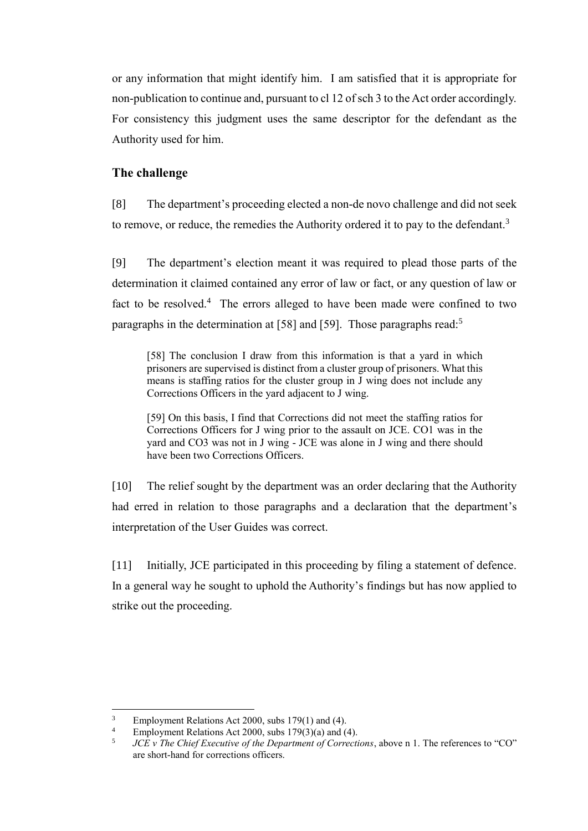or any information that might identify him. I am satisfied that it is appropriate for non-publication to continue and, pursuant to cl 12 of sch 3 to the Act order accordingly. For consistency this judgment uses the same descriptor for the defendant as the Authority used for him.

# **The challenge**

[8] The department's proceeding elected a non-de novo challenge and did not seek to remove, or reduce, the remedies the Authority ordered it to pay to the defendant.<sup>3</sup>

[9] The department's election meant it was required to plead those parts of the determination it claimed contained any error of law or fact, or any question of law or fact to be resolved.<sup>4</sup> The errors alleged to have been made were confined to two paragraphs in the determination at [58] and [59]. Those paragraphs read:<sup>5</sup>

[58] The conclusion I draw from this information is that a yard in which prisoners are supervised is distinct from a cluster group of prisoners. What this means is staffing ratios for the cluster group in J wing does not include any Corrections Officers in the yard adjacent to J wing.

[59] On this basis, I find that Corrections did not meet the staffing ratios for Corrections Officers for J wing prior to the assault on JCE. CO1 was in the yard and CO3 was not in J wing - JCE was alone in J wing and there should have been two Corrections Officers.

[10] The relief sought by the department was an order declaring that the Authority had erred in relation to those paragraphs and a declaration that the department's interpretation of the User Guides was correct.

[11] Initially, JCE participated in this proceeding by filing a statement of defence. In a general way he sought to uphold the Authority's findings but has now applied to strike out the proceeding.

<sup>&</sup>lt;sup>3</sup> Employment Relations Act 2000, subs 179(1) and (4).<br><sup>4</sup> Employment Belations Act 2000, subs 179(2)(a) and (

Employment Relations Act 2000, subs  $179(3)(a)$  and (4).

<sup>5</sup> *JCE v The Chief Executive of the Department of Corrections*, above n 1. The references to "CO" are short-hand for corrections officers.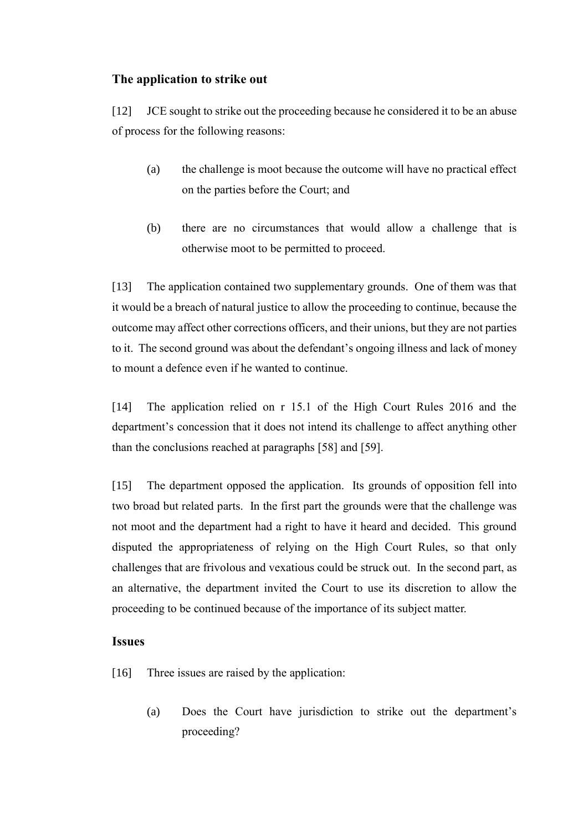## **The application to strike out**

[12] JCE sought to strike out the proceeding because he considered it to be an abuse of process for the following reasons:

- (a) the challenge is moot because the outcome will have no practical effect on the parties before the Court; and
- (b) there are no circumstances that would allow a challenge that is otherwise moot to be permitted to proceed.

[13] The application contained two supplementary grounds. One of them was that it would be a breach of natural justice to allow the proceeding to continue, because the outcome may affect other corrections officers, and their unions, but they are not parties to it. The second ground was about the defendant's ongoing illness and lack of money to mount a defence even if he wanted to continue.

[14] The application relied on r 15.1 of the High Court Rules 2016 and the department's concession that it does not intend its challenge to affect anything other than the conclusions reached at paragraphs [58] and [59].

[15] The department opposed the application. Its grounds of opposition fell into two broad but related parts. In the first part the grounds were that the challenge was not moot and the department had a right to have it heard and decided. This ground disputed the appropriateness of relying on the High Court Rules, so that only challenges that are frivolous and vexatious could be struck out. In the second part, as an alternative, the department invited the Court to use its discretion to allow the proceeding to be continued because of the importance of its subject matter.

#### **Issues**

[16] Three issues are raised by the application:

(a) Does the Court have jurisdiction to strike out the department's proceeding?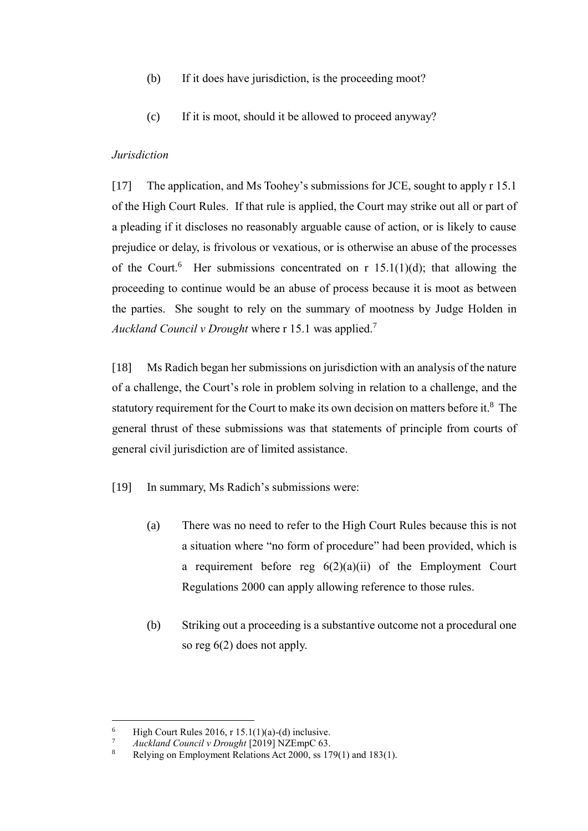- (b) If it does have jurisdiction, is the proceeding moot?
- (c) If it is moot, should it be allowed to proceed anyway?

# *Jurisdiction*

[17] The application, and Ms Toohey's submissions for JCE, sought to apply r 15.1 of the High Court Rules. If that rule is applied, the Court may strike out all or part of a pleading if it discloses no reasonably arguable cause of action, or is likely to cause prejudice or delay, is frivolous or vexatious, or is otherwise an abuse of the processes of the Court.<sup>6</sup> Her submissions concentrated on r 15.1(1)(d); that allowing the proceeding to continue would be an abuse of process because it is moot as between the parties. She sought to rely on the summary of mootness by Judge Holden in *Auckland Council v Drought* where r 15.1 was applied. 7

[18] Ms Radich began her submissions on jurisdiction with an analysis of the nature of a challenge, the Court's role in problem solving in relation to a challenge, and the statutory requirement for the Court to make its own decision on matters before it.<sup>8</sup> The general thrust of these submissions was that statements of principle from courts of general civil jurisdiction are of limited assistance.

[19] In summary, Ms Radich's submissions were:

- (a) There was no need to refer to the High Court Rules because this is not a situation where "no form of procedure" had been provided, which is a requirement before reg  $6(2)(a)(ii)$  of the Employment Court Regulations 2000 can apply allowing reference to those rules.
- (b) Striking out a proceeding is a substantive outcome not a procedural one so reg 6(2) does not apply.

<sup>&</sup>lt;sup>6</sup> High Court Rules 2016, r 15.1(1)(a)-(d) inclusive.

<sup>7</sup> *Auckland Council v Drought* [2019] NZEmpC 63.

Relying on Employment Relations Act 2000, ss 179(1) and 183(1).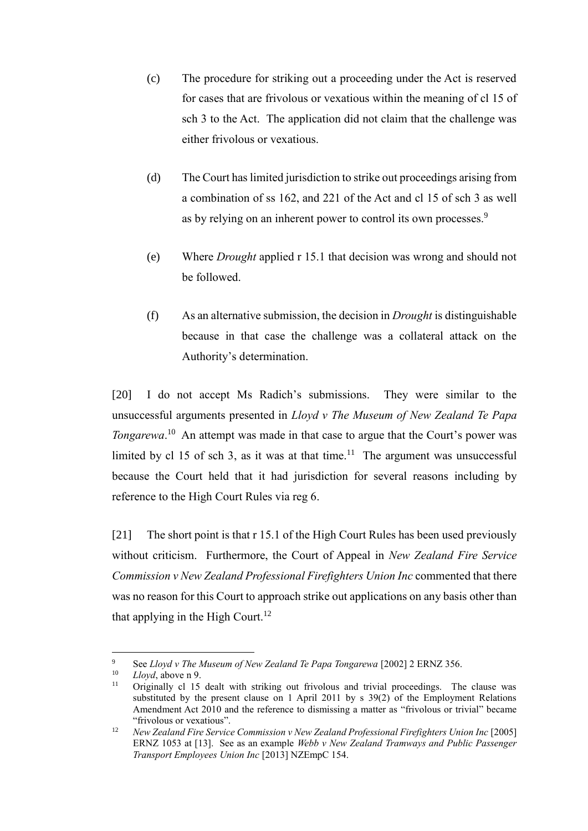- (c) The procedure for striking out a proceeding under the Act is reserved for cases that are frivolous or vexatious within the meaning of cl 15 of sch 3 to the Act. The application did not claim that the challenge was either frivolous or vexatious.
- (d) The Court has limited jurisdiction to strike out proceedings arising from a combination of ss 162, and 221 of the Act and cl 15 of sch 3 as well as by relying on an inherent power to control its own processes.<sup>9</sup>
- (e) Where *Drought* applied r 15.1 that decision was wrong and should not be followed.
- (f) As an alternative submission, the decision in *Drought* is distinguishable because in that case the challenge was a collateral attack on the Authority's determination.

[20] I do not accept Ms Radich's submissions. They were similar to the unsuccessful arguments presented in *Lloyd v The Museum of New Zealand Te Papa Tongarewa*. <sup>10</sup> An attempt was made in that case to argue that the Court's power was limited by cl 15 of sch 3, as it was at that time.<sup>11</sup> The argument was unsuccessful because the Court held that it had jurisdiction for several reasons including by reference to the High Court Rules via reg 6.

[21] The short point is that r 15.1 of the High Court Rules has been used previously without criticism. Furthermore, the Court of Appeal in *New Zealand Fire Service Commission v New Zealand Professional Firefighters Union Inc* commented that there was no reason for this Court to approach strike out applications on any basis other than that applying in the High Court.<sup>12</sup>

<sup>9</sup> See *Lloyd v The Museum of New Zealand Te Papa Tongarewa* [2002] 2 ERNZ 356.

 $\frac{10}{11}$  *Lloyd*, above n 9.

<sup>11</sup> Originally cl 15 dealt with striking out frivolous and trivial proceedings. The clause was substituted by the present clause on 1 April 2011 by s 39(2) of the Employment Relations Amendment Act 2010 and the reference to dismissing a matter as "frivolous or trivial" became "frivolous or vexatious".

<sup>12</sup> *New Zealand Fire Service Commission v New Zealand Professional Firefighters Union Inc* [2005] ERNZ 1053 at [13]. See as an example *Webb v New Zealand Tramways and Public Passenger Transport Employees Union Inc* [2013] NZEmpC 154.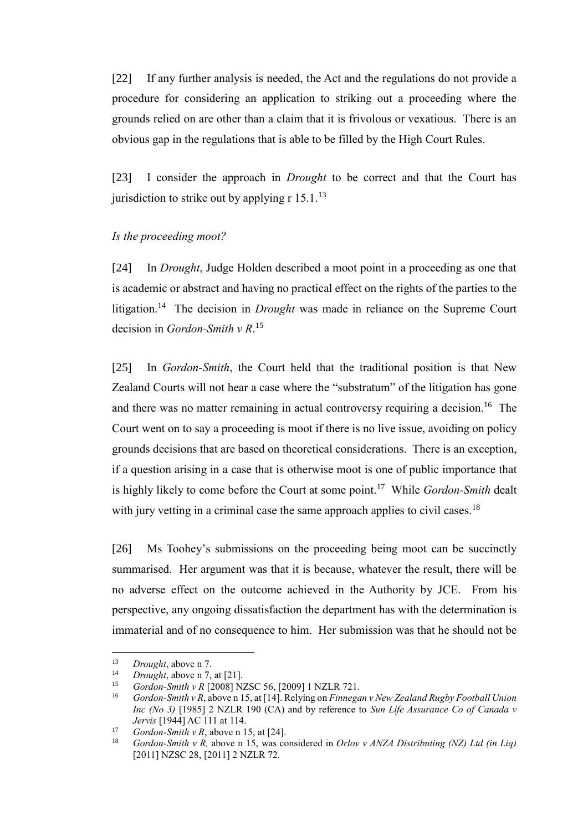[22] If any further analysis is needed, the Act and the regulations do not provide a procedure for considering an application to striking out a proceeding where the grounds relied on are other than a claim that it is frivolous or vexatious. There is an obvious gap in the regulations that is able to be filled by the High Court Rules.

[23] I consider the approach in *Drought* to be correct and that the Court has jurisdiction to strike out by applying  $r 15.1$ <sup>13</sup>

#### *Is the proceeding moot?*

[24] In *Drought*, Judge Holden described a moot point in a proceeding as one that is academic or abstract and having no practical effect on the rights of the parties to the litigation.<sup>14</sup> The decision in *Drought* was made in reliance on the Supreme Court decision in *Gordon-Smith v R*. 15

[25] In *Gordon-Smith*, the Court held that the traditional position is that New Zealand Courts will not hear a case where the "substratum" of the litigation has gone and there was no matter remaining in actual controversy requiring a decision.<sup>16</sup> The Court went on to say a proceeding is moot if there is no live issue, avoiding on policy grounds decisions that are based on theoretical considerations. There is an exception, if a question arising in a case that is otherwise moot is one of public importance that is highly likely to come before the Court at some point.<sup>17</sup> While *Gordon-Smith* dealt with jury vetting in a criminal case the same approach applies to civil cases.<sup>18</sup>

[26] Ms Toohey's submissions on the proceeding being moot can be succinctly summarised. Her argument was that it is because, whatever the result, there will be no adverse effect on the outcome achieved in the Authority by JCE. From his perspective, any ongoing dissatisfaction the department has with the determination is immaterial and of no consequence to him. Her submission was that he should not be

<sup>13</sup> *Drought*, above n 7.

<sup>&</sup>lt;sup>14</sup> *Drought*, above n 7, at [21].

<sup>15</sup> *Gordon-Smith v R* [2008] NZSC 56, [2009] 1 NZLR 721.

<sup>16</sup> *Gordon-Smith v R*, above n 15, at [14]. Relying on *Finnegan v New Zealand Rugby Football Union Inc (No 3)* [1985] 2 NZLR 190 (CA) and by reference to *Sun Life Assurance Co of Canada v Jervis* [1944] AC 111 at 114.

<sup>&</sup>lt;sup>17</sup> *Gordon-Smith v R*, above n 15, at [24].

<sup>18</sup> *Gordon-Smith v R,* above n 15, was considered in *Orlov v ANZA Distributing (NZ) Ltd (in Liq)*  [2011] NZSC 28, [2011] 2 NZLR 72*.*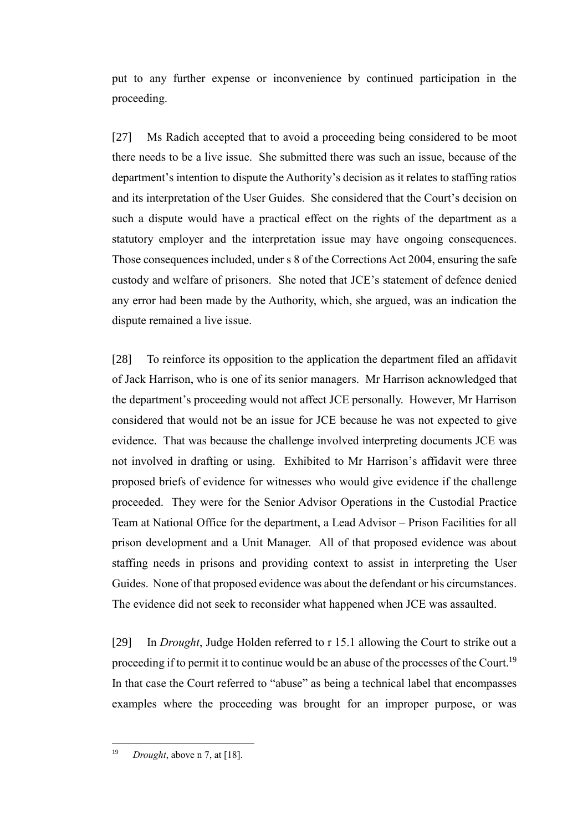put to any further expense or inconvenience by continued participation in the proceeding.

[27] Ms Radich accepted that to avoid a proceeding being considered to be moot there needs to be a live issue. She submitted there was such an issue, because of the department's intention to dispute the Authority's decision as it relates to staffing ratios and its interpretation of the User Guides. She considered that the Court's decision on such a dispute would have a practical effect on the rights of the department as a statutory employer and the interpretation issue may have ongoing consequences. Those consequences included, under s 8 of the Corrections Act 2004, ensuring the safe custody and welfare of prisoners. She noted that JCE's statement of defence denied any error had been made by the Authority, which, she argued, was an indication the dispute remained a live issue.

[28] To reinforce its opposition to the application the department filed an affidavit of Jack Harrison, who is one of its senior managers. Mr Harrison acknowledged that the department's proceeding would not affect JCE personally. However, Mr Harrison considered that would not be an issue for JCE because he was not expected to give evidence. That was because the challenge involved interpreting documents JCE was not involved in drafting or using. Exhibited to Mr Harrison's affidavit were three proposed briefs of evidence for witnesses who would give evidence if the challenge proceeded. They were for the Senior Advisor Operations in the Custodial Practice Team at National Office for the department, a Lead Advisor – Prison Facilities for all prison development and a Unit Manager. All of that proposed evidence was about staffing needs in prisons and providing context to assist in interpreting the User Guides. None of that proposed evidence was about the defendant or his circumstances. The evidence did not seek to reconsider what happened when JCE was assaulted.

[29] In *Drought*, Judge Holden referred to r 15.1 allowing the Court to strike out a proceeding if to permit it to continue would be an abuse of the processes of the Court.<sup>19</sup> In that case the Court referred to "abuse" as being a technical label that encompasses examples where the proceeding was brought for an improper purpose, or was

<sup>19</sup> *Drought*, above n 7, at [18].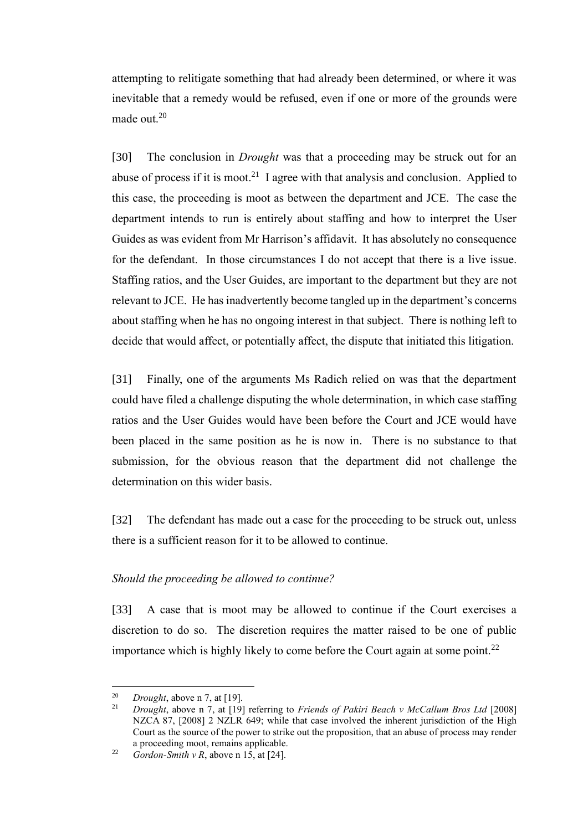attempting to relitigate something that had already been determined, or where it was inevitable that a remedy would be refused, even if one or more of the grounds were made out. $^{20}$ 

[30] The conclusion in *Drought* was that a proceeding may be struck out for an abuse of process if it is moot.<sup>21</sup> I agree with that analysis and conclusion. Applied to this case, the proceeding is moot as between the department and JCE. The case the department intends to run is entirely about staffing and how to interpret the User Guides as was evident from Mr Harrison's affidavit. It has absolutely no consequence for the defendant. In those circumstances I do not accept that there is a live issue. Staffing ratios, and the User Guides, are important to the department but they are not relevant to JCE. He has inadvertently become tangled up in the department's concerns about staffing when he has no ongoing interest in that subject. There is nothing left to decide that would affect, or potentially affect, the dispute that initiated this litigation.

[31] Finally, one of the arguments Ms Radich relied on was that the department could have filed a challenge disputing the whole determination, in which case staffing ratios and the User Guides would have been before the Court and JCE would have been placed in the same position as he is now in. There is no substance to that submission, for the obvious reason that the department did not challenge the determination on this wider basis.

[32] The defendant has made out a case for the proceeding to be struck out, unless there is a sufficient reason for it to be allowed to continue.

#### *Should the proceeding be allowed to continue?*

[33] A case that is moot may be allowed to continue if the Court exercises a discretion to do so. The discretion requires the matter raised to be one of public importance which is highly likely to come before the Court again at some point.<sup>22</sup>

<sup>20</sup> <sup>20</sup> *Drought*, above n 7, at [19].<br><sup>21</sup> *Drought*, above n 7, at [10]

<sup>21</sup> *Drought*, above n 7, at [19] referring to *Friends of Pakiri Beach v McCallum Bros Ltd* [2008] NZCA 87, [2008] 2 NZLR 649; while that case involved the inherent jurisdiction of the High Court as the source of the power to strike out the proposition, that an abuse of process may render a proceeding moot, remains applicable.

<sup>&</sup>lt;sup>22</sup> *Gordon-Smith v R*, above n 15, at [24].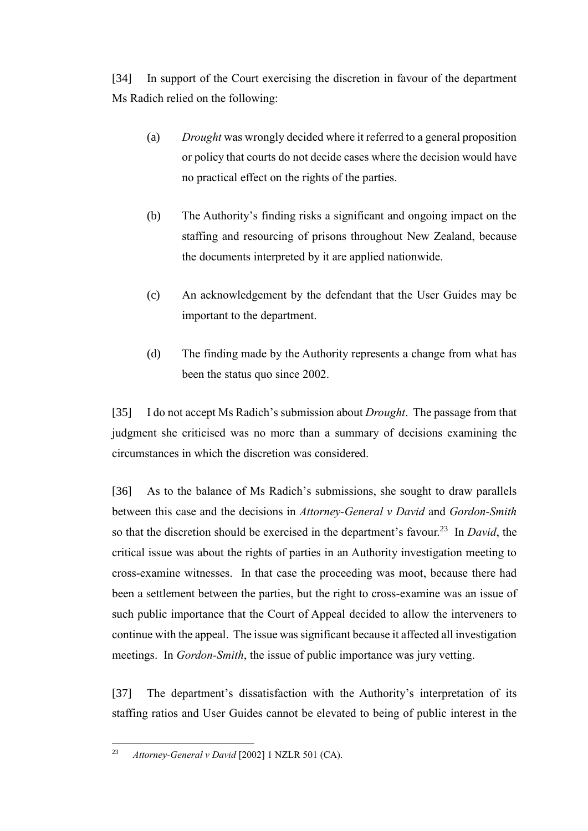[34] In support of the Court exercising the discretion in favour of the department Ms Radich relied on the following:

- (a) *Drought* was wrongly decided where it referred to a general proposition or policy that courts do not decide cases where the decision would have no practical effect on the rights of the parties.
- (b) The Authority's finding risks a significant and ongoing impact on the staffing and resourcing of prisons throughout New Zealand, because the documents interpreted by it are applied nationwide.
- (c) An acknowledgement by the defendant that the User Guides may be important to the department.
- (d) The finding made by the Authority represents a change from what has been the status quo since 2002.

[35] I do not accept Ms Radich's submission about *Drought*. The passage from that judgment she criticised was no more than a summary of decisions examining the circumstances in which the discretion was considered.

[36] As to the balance of Ms Radich's submissions, she sought to draw parallels between this case and the decisions in *Attorney-General v David* and *Gordon-Smith*  so that the discretion should be exercised in the department's favour. 23 In *David*, the critical issue was about the rights of parties in an Authority investigation meeting to cross-examine witnesses. In that case the proceeding was moot, because there had been a settlement between the parties, but the right to cross-examine was an issue of such public importance that the Court of Appeal decided to allow the interveners to continue with the appeal. The issue wassignificant because it affected all investigation meetings. In *Gordon-Smith*, the issue of public importance was jury vetting.

[37] The department's dissatisfaction with the Authority's interpretation of its staffing ratios and User Guides cannot be elevated to being of public interest in the

 $\overline{a}$ <sup>23</sup> *Attorney-General v David* [2002] 1 NZLR 501 (CA).